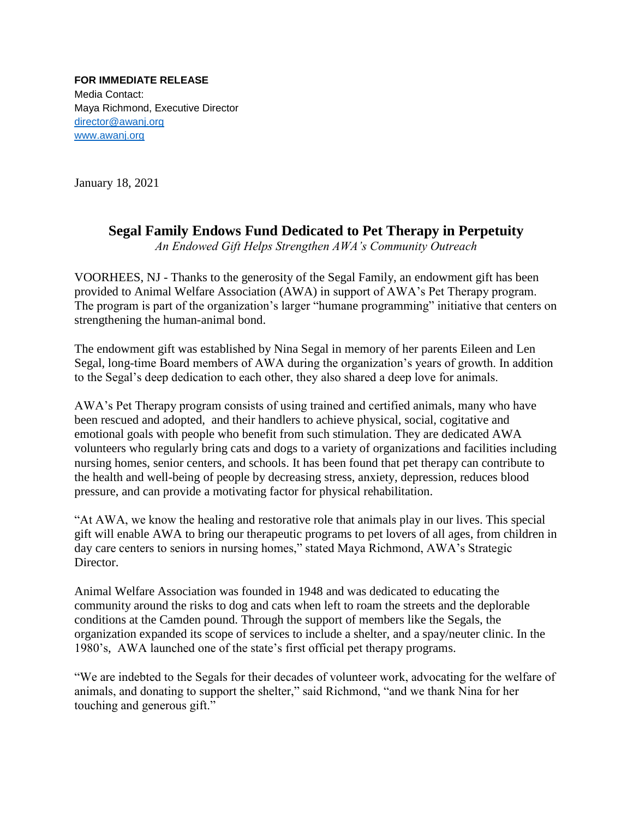**FOR IMMEDIATE RELEASE** Media Contact: Maya Richmond, Executive Director [director@awanj.org](mailto:director@awanj.org) [www.awanj.org](http://www.awanj.org/)

January 18, 2021

## **Segal Family Endows Fund Dedicated to Pet Therapy in Perpetuity**

*An Endowed Gift Helps Strengthen AWA's Community Outreach*

VOORHEES, NJ - Thanks to the generosity of the Segal Family, an endowment gift has been provided to Animal Welfare Association (AWA) in support of AWA's Pet Therapy program. The program is part of the organization's larger "humane programming" initiative that centers on strengthening the human-animal bond.

The endowment gift was established by Nina Segal in memory of her parents Eileen and Len Segal, long-time Board members of AWA during the organization's years of growth. In addition to the Segal's deep dedication to each other, they also shared a deep love for animals.

AWA's Pet Therapy program consists of using trained and certified animals, many who have been rescued and adopted, and their handlers to achieve physical, social, cogitative and emotional goals with people who benefit from such stimulation. They are dedicated AWA volunteers who regularly bring cats and dogs to a variety of organizations and facilities including nursing homes, senior centers, and schools. It has been found that pet therapy can contribute to the health and well-being of people by decreasing stress, anxiety, depression, reduces blood pressure, and can provide a motivating factor for physical rehabilitation.

"At AWA, we know the healing and restorative role that animals play in our lives. This special gift will enable AWA to bring our therapeutic programs to pet lovers of all ages, from children in day care centers to seniors in nursing homes," stated Maya Richmond, AWA's Strategic Director.

Animal Welfare Association was founded in 1948 and was dedicated to educating the community around the risks to dog and cats when left to roam the streets and the deplorable conditions at the Camden pound. Through the support of members like the Segals, the organization expanded its scope of services to include a shelter, and a spay/neuter clinic. In the 1980's, AWA launched one of the state's first official pet therapy programs.

"We are indebted to the Segals for their decades of volunteer work, advocating for the welfare of animals, and donating to support the shelter," said Richmond, "and we thank Nina for her touching and generous gift."